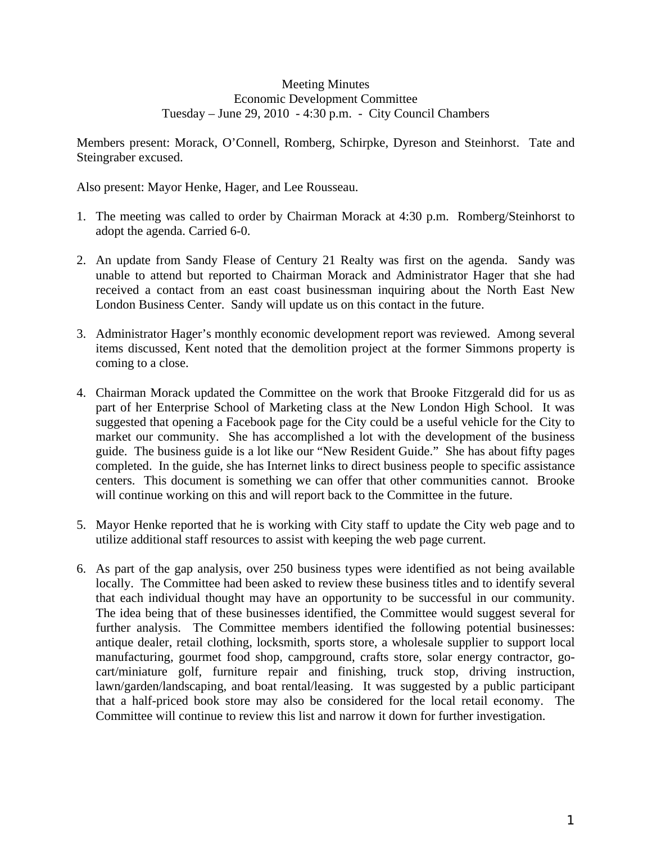## Meeting Minutes Economic Development Committee Tuesday – June 29, 2010 - 4:30 p.m. - City Council Chambers

Members present: Morack, O'Connell, Romberg, Schirpke, Dyreson and Steinhorst. Tate and Steingraber excused.

Also present: Mayor Henke, Hager, and Lee Rousseau.

- 1. The meeting was called to order by Chairman Morack at 4:30 p.m. Romberg/Steinhorst to adopt the agenda. Carried 6-0.
- 2. An update from Sandy Flease of Century 21 Realty was first on the agenda. Sandy was unable to attend but reported to Chairman Morack and Administrator Hager that she had received a contact from an east coast businessman inquiring about the North East New London Business Center. Sandy will update us on this contact in the future.
- 3. Administrator Hager's monthly economic development report was reviewed. Among several items discussed, Kent noted that the demolition project at the former Simmons property is coming to a close.
- 4. Chairman Morack updated the Committee on the work that Brooke Fitzgerald did for us as part of her Enterprise School of Marketing class at the New London High School. It was suggested that opening a Facebook page for the City could be a useful vehicle for the City to market our community. She has accomplished a lot with the development of the business guide. The business guide is a lot like our "New Resident Guide." She has about fifty pages completed. In the guide, she has Internet links to direct business people to specific assistance centers. This document is something we can offer that other communities cannot. Brooke will continue working on this and will report back to the Committee in the future.
- 5. Mayor Henke reported that he is working with City staff to update the City web page and to utilize additional staff resources to assist with keeping the web page current.
- 6. As part of the gap analysis, over 250 business types were identified as not being available locally. The Committee had been asked to review these business titles and to identify several that each individual thought may have an opportunity to be successful in our community. The idea being that of these businesses identified, the Committee would suggest several for further analysis. The Committee members identified the following potential businesses: antique dealer, retail clothing, locksmith, sports store, a wholesale supplier to support local manufacturing, gourmet food shop, campground, crafts store, solar energy contractor, gocart/miniature golf, furniture repair and finishing, truck stop, driving instruction, lawn/garden/landscaping, and boat rental/leasing. It was suggested by a public participant that a half-priced book store may also be considered for the local retail economy. The Committee will continue to review this list and narrow it down for further investigation.